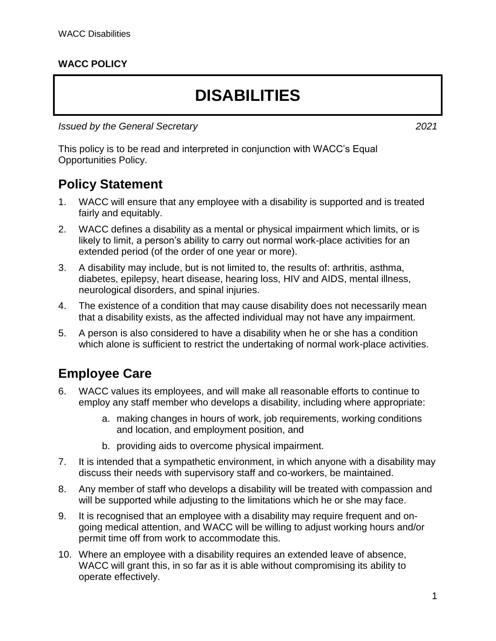#### **WACC POLICY**

# **DISABILITIES**

*Issued by the General Secretary 2021*

This policy is to be read and interpreted in conjunction with WACC's Equal Opportunities Policy.

#### **Policy Statement**

- 1. WACC will ensure that any employee with a disability is supported and is treated fairly and equitably.
- 2. WACC defines a disability as a mental or physical impairment which limits, or is likely to limit, a person's ability to carry out normal work-place activities for an extended period (of the order of one year or more).
- 3. A disability may include, but is not limited to, the results of: arthritis, asthma, diabetes, epilepsy, heart disease, hearing loss, HIV and AIDS, mental illness, neurological disorders, and spinal injuries.
- 4. The existence of a condition that may cause disability does not necessarily mean that a disability exists, as the affected individual may not have any impairment.
- 5. A person is also considered to have a disability when he or she has a condition which alone is sufficient to restrict the undertaking of normal work-place activities.

#### **Employee Care**

- 6. WACC values its employees, and will make all reasonable efforts to continue to employ any staff member who develops a disability, including where appropriate:
	- a. making changes in hours of work, job requirements, working conditions and location, and employment position, and
	- b. providing aids to overcome physical impairment.
- 7. It is intended that a sympathetic environment, in which anyone with a disability may discuss their needs with supervisory staff and co-workers, be maintained.
- 8. Any member of staff who develops a disability will be treated with compassion and will be supported while adjusting to the limitations which he or she may face.
- 9. It is recognised that an employee with a disability may require frequent and ongoing medical attention, and WACC will be willing to adjust working hours and/or permit time off from work to accommodate this.
- 10. Where an employee with a disability requires an extended leave of absence, WACC will grant this, in so far as it is able without compromising its ability to operate effectively.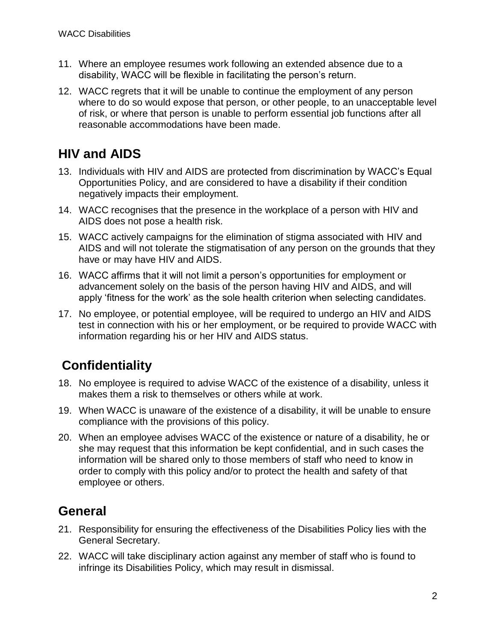- 11. Where an employee resumes work following an extended absence due to a disability, WACC will be flexible in facilitating the person's return.
- 12. WACC regrets that it will be unable to continue the employment of any person where to do so would expose that person, or other people, to an unacceptable level of risk, or where that person is unable to perform essential job functions after all reasonable accommodations have been made.

### **HIV and AIDS**

- 13. Individuals with HIV and AIDS are protected from discrimination by WACC's Equal Opportunities Policy, and are considered to have a disability if their condition negatively impacts their employment.
- 14. WACC recognises that the presence in the workplace of a person with HIV and AIDS does not pose a health risk.
- 15. WACC actively campaigns for the elimination of stigma associated with HIV and AIDS and will not tolerate the stigmatisation of any person on the grounds that they have or may have HIV and AIDS.
- 16. WACC affirms that it will not limit a person's opportunities for employment or advancement solely on the basis of the person having HIV and AIDS, and will apply 'fitness for the work' as the sole health criterion when selecting candidates.
- 17. No employee, or potential employee, will be required to undergo an HIV and AIDS test in connection with his or her employment, or be required to provide WACC with information regarding his or her HIV and AIDS status.

## **Confidentiality**

- 18. No employee is required to advise WACC of the existence of a disability, unless it makes them a risk to themselves or others while at work.
- 19. When WACC is unaware of the existence of a disability, it will be unable to ensure compliance with the provisions of this policy.
- 20. When an employee advises WACC of the existence or nature of a disability, he or she may request that this information be kept confidential, and in such cases the information will be shared only to those members of staff who need to know in order to comply with this policy and/or to protect the health and safety of that employee or others.

#### **General**

- 21. Responsibility for ensuring the effectiveness of the Disabilities Policy lies with the General Secretary.
- 22. WACC will take disciplinary action against any member of staff who is found to infringe its Disabilities Policy, which may result in dismissal.